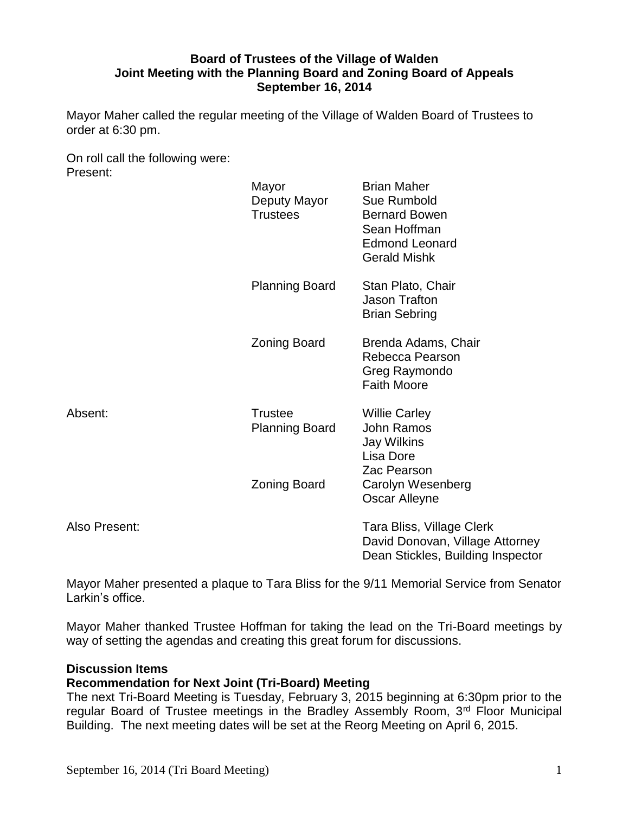## **Board of Trustees of the Village of Walden Joint Meeting with the Planning Board and Zoning Board of Appeals September 16, 2014**

Mayor Maher called the regular meeting of the Village of Walden Board of Trustees to order at 6:30 pm.

On roll call the following were: Present:

|               | Mayor<br>Deputy Mayor<br><b>Trustees</b> | <b>Brian Maher</b><br>Sue Rumbold<br><b>Bernard Bowen</b><br>Sean Hoffman<br><b>Edmond Leonard</b><br><b>Gerald Mishk</b> |
|---------------|------------------------------------------|---------------------------------------------------------------------------------------------------------------------------|
|               | <b>Planning Board</b>                    | Stan Plato, Chair<br><b>Jason Trafton</b><br><b>Brian Sebring</b>                                                         |
|               | <b>Zoning Board</b>                      | Brenda Adams, Chair<br>Rebecca Pearson<br>Greg Raymondo<br><b>Faith Moore</b>                                             |
| Absent:       | <b>Trustee</b><br><b>Planning Board</b>  | <b>Willie Carley</b><br>John Ramos<br><b>Jay Wilkins</b><br>Lisa Dore<br>Zac Pearson                                      |
|               | <b>Zoning Board</b>                      | Carolyn Wesenberg<br>Oscar Alleyne                                                                                        |
| Also Present: |                                          | Tara Bliss, Village Clerk<br>David Donovan, Village Attorney<br>Dean Stickles, Building Inspector                         |

Mayor Maher presented a plaque to Tara Bliss for the 9/11 Memorial Service from Senator Larkin's office.

Mayor Maher thanked Trustee Hoffman for taking the lead on the Tri-Board meetings by way of setting the agendas and creating this great forum for discussions.

#### **Discussion Items**

## **Recommendation for Next Joint (Tri-Board) Meeting**

The next Tri-Board Meeting is Tuesday, February 3, 2015 beginning at 6:30pm prior to the regular Board of Trustee meetings in the Bradley Assembly Room, 3<sup>rd</sup> Floor Municipal Building. The next meeting dates will be set at the Reorg Meeting on April 6, 2015.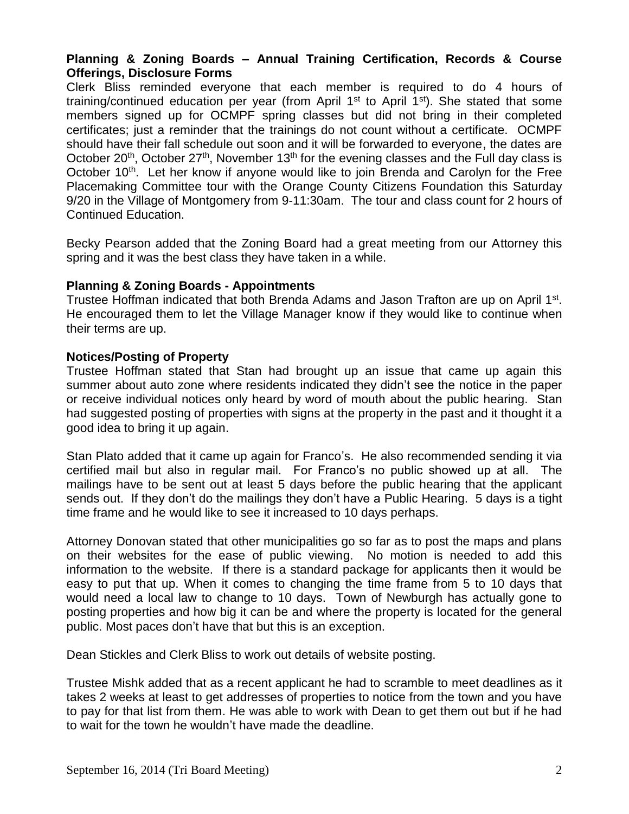# **Planning & Zoning Boards – Annual Training Certification, Records & Course Offerings, Disclosure Forms**

Clerk Bliss reminded everyone that each member is required to do 4 hours of training/continued education per year (from April 1<sup>st</sup> to April 1<sup>st</sup>). She stated that some members signed up for OCMPF spring classes but did not bring in their completed certificates; just a reminder that the trainings do not count without a certificate. OCMPF should have their fall schedule out soon and it will be forwarded to everyone, the dates are October 20<sup>th</sup>, October 27<sup>th</sup>, November 13<sup>th</sup> for the evening classes and the Full day class is October 10<sup>th</sup>. Let her know if anyone would like to join Brenda and Carolyn for the Free Placemaking Committee tour with the Orange County Citizens Foundation this Saturday 9/20 in the Village of Montgomery from 9-11:30am. The tour and class count for 2 hours of Continued Education.

Becky Pearson added that the Zoning Board had a great meeting from our Attorney this spring and it was the best class they have taken in a while.

## **Planning & Zoning Boards - Appointments**

Trustee Hoffman indicated that both Brenda Adams and Jason Trafton are up on April 1<sup>st</sup>. He encouraged them to let the Village Manager know if they would like to continue when their terms are up.

### **Notices/Posting of Property**

Trustee Hoffman stated that Stan had brought up an issue that came up again this summer about auto zone where residents indicated they didn't see the notice in the paper or receive individual notices only heard by word of mouth about the public hearing. Stan had suggested posting of properties with signs at the property in the past and it thought it a good idea to bring it up again.

Stan Plato added that it came up again for Franco's. He also recommended sending it via certified mail but also in regular mail. For Franco's no public showed up at all. The mailings have to be sent out at least 5 days before the public hearing that the applicant sends out. If they don't do the mailings they don't have a Public Hearing. 5 days is a tight time frame and he would like to see it increased to 10 days perhaps.

Attorney Donovan stated that other municipalities go so far as to post the maps and plans on their websites for the ease of public viewing. No motion is needed to add this information to the website. If there is a standard package for applicants then it would be easy to put that up. When it comes to changing the time frame from 5 to 10 days that would need a local law to change to 10 days. Town of Newburgh has actually gone to posting properties and how big it can be and where the property is located for the general public. Most paces don't have that but this is an exception.

Dean Stickles and Clerk Bliss to work out details of website posting.

Trustee Mishk added that as a recent applicant he had to scramble to meet deadlines as it takes 2 weeks at least to get addresses of properties to notice from the town and you have to pay for that list from them. He was able to work with Dean to get them out but if he had to wait for the town he wouldn't have made the deadline.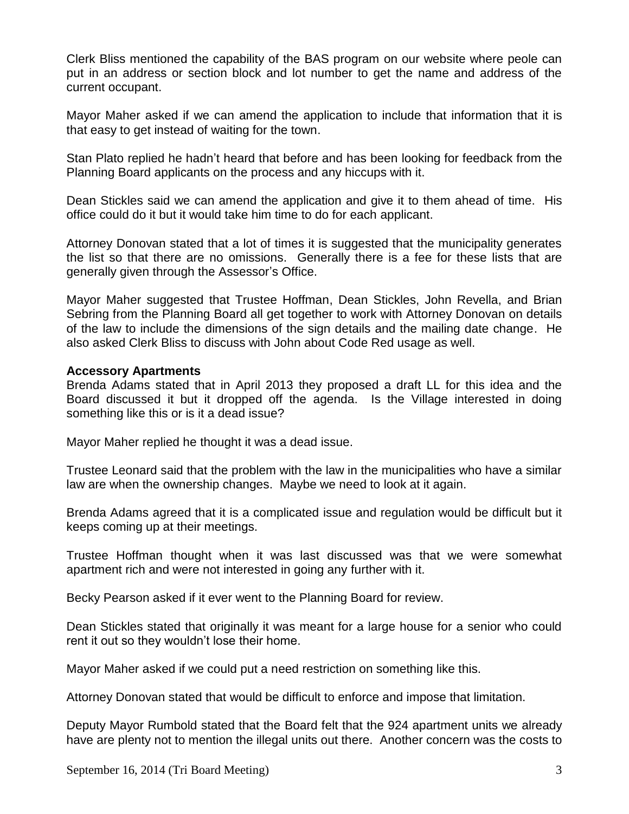Clerk Bliss mentioned the capability of the BAS program on our website where peole can put in an address or section block and lot number to get the name and address of the current occupant.

Mayor Maher asked if we can amend the application to include that information that it is that easy to get instead of waiting for the town.

Stan Plato replied he hadn't heard that before and has been looking for feedback from the Planning Board applicants on the process and any hiccups with it.

Dean Stickles said we can amend the application and give it to them ahead of time. His office could do it but it would take him time to do for each applicant.

Attorney Donovan stated that a lot of times it is suggested that the municipality generates the list so that there are no omissions. Generally there is a fee for these lists that are generally given through the Assessor's Office.

Mayor Maher suggested that Trustee Hoffman, Dean Stickles, John Revella, and Brian Sebring from the Planning Board all get together to work with Attorney Donovan on details of the law to include the dimensions of the sign details and the mailing date change. He also asked Clerk Bliss to discuss with John about Code Red usage as well.

### **Accessory Apartments**

Brenda Adams stated that in April 2013 they proposed a draft LL for this idea and the Board discussed it but it dropped off the agenda. Is the Village interested in doing something like this or is it a dead issue?

Mayor Maher replied he thought it was a dead issue.

Trustee Leonard said that the problem with the law in the municipalities who have a similar law are when the ownership changes. Maybe we need to look at it again.

Brenda Adams agreed that it is a complicated issue and regulation would be difficult but it keeps coming up at their meetings.

Trustee Hoffman thought when it was last discussed was that we were somewhat apartment rich and were not interested in going any further with it.

Becky Pearson asked if it ever went to the Planning Board for review.

Dean Stickles stated that originally it was meant for a large house for a senior who could rent it out so they wouldn't lose their home.

Mayor Maher asked if we could put a need restriction on something like this.

Attorney Donovan stated that would be difficult to enforce and impose that limitation.

Deputy Mayor Rumbold stated that the Board felt that the 924 apartment units we already have are plenty not to mention the illegal units out there. Another concern was the costs to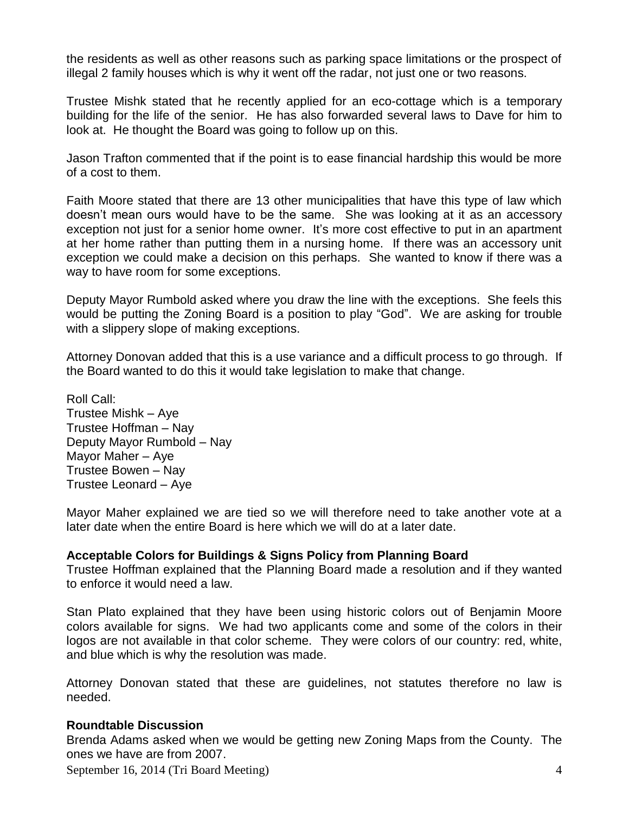the residents as well as other reasons such as parking space limitations or the prospect of illegal 2 family houses which is why it went off the radar, not just one or two reasons.

Trustee Mishk stated that he recently applied for an eco-cottage which is a temporary building for the life of the senior. He has also forwarded several laws to Dave for him to look at. He thought the Board was going to follow up on this.

Jason Trafton commented that if the point is to ease financial hardship this would be more of a cost to them.

Faith Moore stated that there are 13 other municipalities that have this type of law which doesn't mean ours would have to be the same. She was looking at it as an accessory exception not just for a senior home owner. It's more cost effective to put in an apartment at her home rather than putting them in a nursing home. If there was an accessory unit exception we could make a decision on this perhaps. She wanted to know if there was a way to have room for some exceptions.

Deputy Mayor Rumbold asked where you draw the line with the exceptions. She feels this would be putting the Zoning Board is a position to play "God". We are asking for trouble with a slippery slope of making exceptions.

Attorney Donovan added that this is a use variance and a difficult process to go through. If the Board wanted to do this it would take legislation to make that change.

Roll Call: Trustee Mishk – Aye Trustee Hoffman – Nay Deputy Mayor Rumbold – Nay Mayor Maher – Aye Trustee Bowen – Nay Trustee Leonard – Aye

Mayor Maher explained we are tied so we will therefore need to take another vote at a later date when the entire Board is here which we will do at a later date.

## **Acceptable Colors for Buildings & Signs Policy from Planning Board**

Trustee Hoffman explained that the Planning Board made a resolution and if they wanted to enforce it would need a law.

Stan Plato explained that they have been using historic colors out of Benjamin Moore colors available for signs. We had two applicants come and some of the colors in their logos are not available in that color scheme. They were colors of our country: red, white, and blue which is why the resolution was made.

Attorney Donovan stated that these are guidelines, not statutes therefore no law is needed.

## **Roundtable Discussion**

Brenda Adams asked when we would be getting new Zoning Maps from the County. The ones we have are from 2007.

September 16, 2014 (Tri Board Meeting) 4